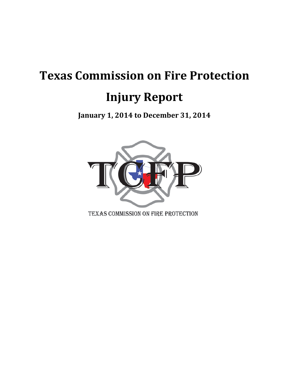# **Texas Commission on Fire Protection Injury Report**

**January 1, 2014 to December 31, 2014** 

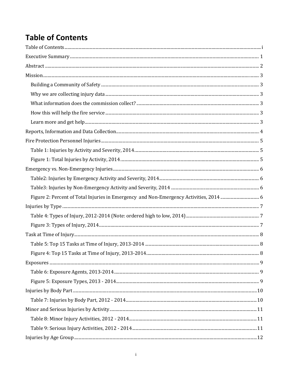# **Table of Contents**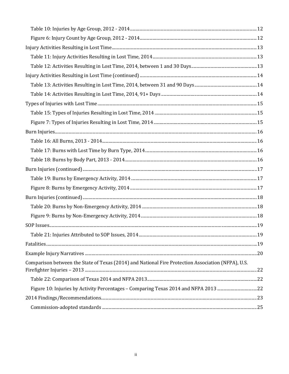| Comparison between the State of Texas (2014) and National Fire Protection Association (NFPA), U.S. |
|----------------------------------------------------------------------------------------------------|
|                                                                                                    |
| Figure 10: Injuries by Activity Percentages - Comparing Texas 2014 and NFPA 2013 22                |
|                                                                                                    |
|                                                                                                    |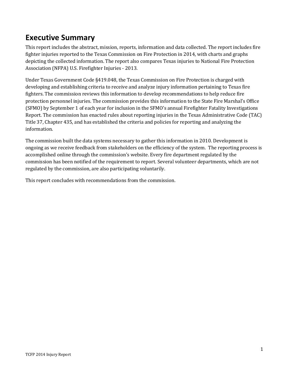### **Executive Summary**

This report includes the abstract, mission, reports, information and data collected. The report includes fire fighter injuries reported to the Texas Commission on Fire Protection in 2014, with charts and graphs depicting the collected information. The report also compares Texas injuries to National Fire Protection Association (NFPA) U.S. Firefighter Injuries - 2013.

Under Texas Government Code §419.048, the Texas Commission on Fire Protection is charged with developing and establishing criteria to receive and analyze injury information pertaining to Texas fire fighters. The commission reviews this information to develop recommendations to help reduce fire protection personnel injuries. The commission provides this information to the State Fire Marshal's Office (SFMO) by September 1 of each year for inclusion in the SFMO's annual Firefighter Fatality Investigations Report. The commission has enacted rules about reporting injuries in the Texas Administrative Code (TAC) Title 37, Chapter 435, and has established the criteria and policies for reporting and analyzing the information.

The commission built the data systems necessary to gather this information in 2010. Development is ongoing as we receive feedback from stakeholders on the efficiency of the system. The reporting process is accomplished online through the commission's website. Every fire department regulated by the commission has been notified of the requirement to report. Several volunteer departments, which are not regulated by the commission, are also participating voluntarily.

This report concludes with recommendations from the commission.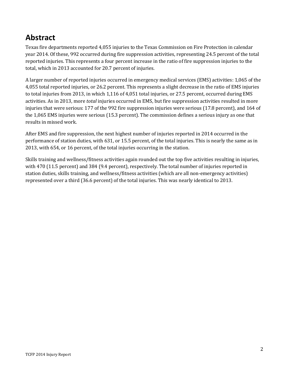### **Abstract**

Texas fire departments reported 4,055 injuries to the Texas Commission on Fire Protection in calendar year 2014. Of these, 992 occurred during fire suppression activities, representing 24.5 percent of the total reported injuries. This represents a four percent increase in the ratio of fire suppression injuries to the total, which in 2013 accounted for 20.7 percent of injuries.

A larger number of reported injuries occurred in emergency medical services (EMS) activities: 1,065 of the 4,055 total reported injuries, or 26.2 percent. This represents a slight decrease in the ratio of EMS injuries to total injuries from 2013, in which 1,116 of 4,051 total injuries, or 27.5 percent, occurred during EMS activities. As in 2013, more *total* injuries occurred in EMS, but fire suppression activities resulted in more injuries that were serious: 177 of the 992 fire suppression injuries were serious (17.8 percent), and 164 of the 1,065 EMS injuries were serious (15.3 percent). The commission defines a serious injury as one that results in missed work.

After EMS and fire suppression, the next highest number of injuries reported in 2014 occurred in the performance of station duties, with 631, or 15.5 percent, of the total injuries. This is nearly the same as in 2013, with 654, or 16 percent, of the total injuries occurring in the station.

Skills training and wellness/fitness activities again rounded out the top five activities resulting in injuries, with 470 (11.5 percent) and 384 (9.4 percent), respectively. The total number of injuries reported in station duties, skills training, and wellness/fitness activities (which are all non-emergency activities) represented over a third (36.6 percent) of the total injuries. This was nearly identical to 2013.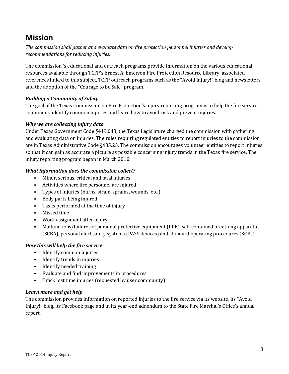### **Mission**

*The commission shall gather and evaluate data on fire protection personnel injuries and develop recommendations for reducing injuries.* 

The commission 's educational and outreach programs provide information on the various educational resources available through TCFP's Ernest A. Emerson Fire Protection Resource Library, associated references linked to this subject, TCFP outreach programs such as the "Avoid Injury!" blog and newsletters, and the adoption of the "Courage to be Safe" program.

### *Building a Community of Safety*

The goal of the Texas Commission on Fire Protection's injury reporting program is to help the fire service community identify common injuries and learn how to avoid risk and prevent injuries.

### *Why we are collecting injury data*

Under Texas Government Code §419.048, the Texas Legislature charged the commission with gathering and evaluating data on injuries. The rules requiring regulated entities to report injuries to the commission are in Texas Administrative Code §435.23. The commission encourages volunteer entities to report injuries so that it can gain as accurate a picture as possible concerning injury trends in the Texas fire service. The injury reporting program began in March 2010.

### *What information does the commission collect?*

- Minor, serious, critical and fatal injuries
- Activities where fire personnel are injured
- Types of injuries (burns, strain-sprains, wounds, etc.)
- Body parts being injured
- Tasks performed at the time of injury
- Missed time
- Work assignment after injury
- Malfunctions/failures of personal protective equipment (PPE), self-contained breathing apparatus (SCBA), personal alert safety systems (PASS devices) and standard operating procedures (SOPs)

### *How this will help the fire service*

- Identify common injuries
- Identify trends in injuries
- Identify needed training
- Evaluate and find improvements in procedures
- Track lost time injuries (requested by user community)

### *Learn more and get help*

The commission provides information on reported injuries to the fire service via its website, its "Avoid Injury!" blog, its Facebook page and in its year-end addendum to the State Fire Marshal's Office's annual report.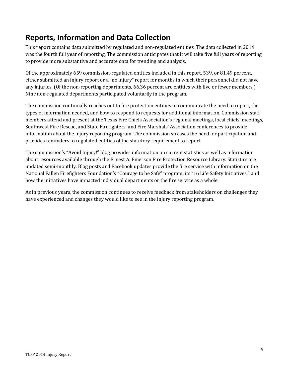### **Reports, Information and Data Collection**

This report contains data submitted by regulated and non-regulated entities. The data collected in 2014 was the fourth full year of reporting. The commission anticipates that it will take five full years of reporting to provide more substantive and accurate data for trending and analysis.

Of the approximately 659 commission-regulated entities included in this report, 539, or 81.49 percent, either submitted an injury report or a "no injury" report for months in which their personnel did not have any injuries. (Of the non-reporting departments, 66.36 percent are entities with five or fewer members.) Nine non-regulated departments participated voluntarily in the program.

The commission continually reaches out to fire protection entities to communicate the need to report, the types of information needed, and how to respond to requests for additional information. Commission staff members attend and present at the Texas Fire Chiefs Association's regional meetings, local chiefs' meetings, Southwest Fire Rescue, and State Firefighters' and Fire Marshals' Association conferences to provide information about the injury reporting program. The commission stresses the need for participation and provides reminders to regulated entities of the statutory requirement to report.

The commission's "Avoid Injury!" blog provides information on current statistics as well as information about resources available through the Ernest A. Emerson Fire Protection Resource Library. Statistics are updated semi-monthly. Blog posts and Facebook updates provide the fire service with information on the National Fallen Firefighters Foundation's "Courage to be Safe" program, its "16 Life Safety Initiatives," and how the initiatives have impacted individual departments or the fire service as a whole.

As in previous years, the commission continues to receive feedback from stakeholders on challenges they have experienced and changes they would like to see in the injury reporting program.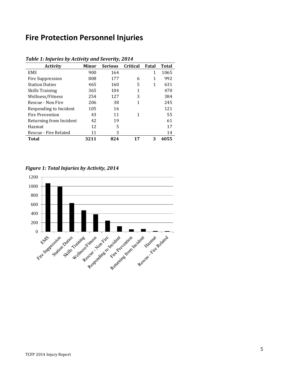### **Fire Protection Personnel Injuries**

| <b>Activity</b>         | <b>Minor</b> | <b>Serious</b> | Critical     | Fatal | <b>Total</b> |
|-------------------------|--------------|----------------|--------------|-------|--------------|
| <b>EMS</b>              | 900          | 164            |              | 1     | 1065         |
| Fire Suppression        | 808          | 177            | 6            | 1     | 992          |
| <b>Station Duties</b>   | 465          | 160            | 5            | 1     | 631          |
| <b>Skills Training</b>  | 365          | 104            | $\mathbf{1}$ |       | 470          |
| Wellness/Fitness        | 254          | 127            | 3            |       | 384          |
| Rescue - Non Fire       | 206          | 38             | 1            |       | 245          |
| Responding to Incident  | 105          | 16             |              |       | 121          |
| <b>Fire Prevention</b>  | 43           | 11             | 1            |       | 55           |
| Returning from Incident | 42           | 19             |              |       | 61           |
| Hazmat                  | 12           | 5              |              |       | 17           |
| Rescue - Fire Related   | 11           | 3              |              |       | 14           |
| Total                   | 3211         | 824            | 17           | 3     | 4055         |

#### *Table 1: Injuries by Activity and Severity, 2014*

*Figure 1: Total Injuries by Activity, 2014*

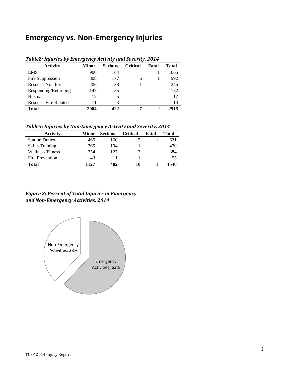### **Emergency vs. Non-Emergency Injuries**

| $1$ ables in far ics by since gency nearily and severicy so $1$ |       |                |                 |       |       |  |  |
|-----------------------------------------------------------------|-------|----------------|-----------------|-------|-------|--|--|
| <b>Activity</b>                                                 | Minor | <b>Serious</b> | <b>Critical</b> | Fatal | Total |  |  |
| <b>EMS</b>                                                      | 900   | 164            |                 |       | 1065  |  |  |
| Fire Suppression                                                | 808   | 177            | 6               |       | 992   |  |  |
| Rescue - Non Fire                                               | 206   | 38             |                 |       | 245   |  |  |
| Responding/Returning                                            | 147   | 35             |                 |       | 182   |  |  |
| Hazmat                                                          | 12    | 5              |                 |       | 17    |  |  |
| Rescue - Fire Related                                           | 11    | 3              |                 |       | 14    |  |  |
| <b>Total</b>                                                    | 2084  | 422            |                 | າ     | 2515  |  |  |

#### *Table2: Injuries by Emergency Activity and Severity, 2014*

*Table3: Injuries by Non-Emergency Activity and Severity, 2014*

| <b>Activity</b>        | Minor | <b>Serious</b> | <b>Critical</b> | Fatal | Total |
|------------------------|-------|----------------|-----------------|-------|-------|
| <b>Station Duties</b>  | 465   | 160            |                 |       | 631   |
| <b>Skills Training</b> | 365   | 104            |                 |       | 470   |
| Wellness/Fitness       | 254   | 127            | 3               |       | 384   |
| Fire Prevention        | 43    |                |                 |       | 55    |
| <b>Total</b>           | 1127  | 402            | 10              |       | 1540  |

### *Figure 2: Percent of Total Injuries in Emergency and Non-Emergency Activities, 2014*

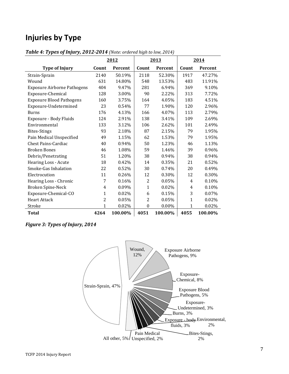### **Injuries by Type**

|                                    | 2012           |         | 2013             |         | 2014         |         |
|------------------------------------|----------------|---------|------------------|---------|--------------|---------|
| <b>Type of Injury</b>              | Count          | Percent | Count            | Percent | Count        | Percent |
| Strain-Sprain                      | 2140           | 50.19%  | 2118             | 52.30%  | 1917         | 47.27%  |
| Wound                              | 631            | 14.80%  | 548              | 13.53%  | 483          | 11.91%  |
| <b>Exposure Airborne Pathogens</b> | 404            | 9.47%   | 281              | 6.94%   | 369          | 9.10%   |
| Exposure-Chemical                  | 128            | 3.00%   | 90               | 2.22%   | 313          | 7.72%   |
| <b>Exposure Blood Pathogens</b>    | 160            | 3.75%   | 164              | 4.05%   | 183          | 4.51%   |
| Exposure-Undetermined              | 23             | 0.54%   | 77               | 1.90%   | 120          | 2.96%   |
| <b>Burns</b>                       | 176            | 4.13%   | 166              | 4.07%   | 113          | 2.79%   |
| Exposure - Body Fluids             | 124            | 2.91%   | 138              | 3.41%   | 109          | 2.69%   |
| Environmental                      | 133            | 3.12%   | 106              | 2.62%   | 101          | 2.49%   |
| <b>Bites-Stings</b>                | 93             | 2.18%   | 87               | 2.15%   | 79           | 1.95%   |
| Pain Medical Unspecified           | 49             | 1.15%   | 62               | 1.53%   | 79           | 1.95%   |
| Chest Pains-Cardiac                | 40             | 0.94%   | 50               | 1.23%   | 46           | 1.13%   |
| <b>Broken Bones</b>                | 46             | 1.08%   | 59               | 1.46%   | 39           | 0.96%   |
| Debris/Penetrating                 | 51             | 1.20%   | 38               | 0.94%   | 38           | 0.94%   |
| Hearing Loss - Acute               | 18             | 0.42%   | 14               | 0.35%   | 21           | 0.52%   |
| Smoke-Gas Inhalation               | 22             | 0.52%   | 30               | 0.74%   | 20           | 0.49%   |
| Electrocution                      | 11             | 0.26%   | 12               | 0.30%   | 12           | 0.30%   |
| Hearing Loss - Chronic             | 7              | 0.16%   | $\overline{2}$   | 0.05%   | 4            | 0.10%   |
| Broken Spine-Neck                  | 4              | 0.09%   | 1                | 0.02%   | 4            | 0.10%   |
| Exposure-Chemical-CO               | $\mathbf{1}$   | 0.02%   | 6                | 0.15%   | 3            | 0.07%   |
| <b>Heart Attack</b>                | $\overline{2}$ | 0.05%   | 2                | 0.05%   | $\mathbf{1}$ | 0.02%   |
| Stroke                             | 1              | 0.02%   | $\boldsymbol{0}$ | 0.00%   | 1            | 0.02%   |
| <b>Total</b>                       | 4264           | 100.00% | 4051             | 100.00% | 4055         | 100.00% |

*Table 4: Types of Injury, 2012-2014 (Note: ordered high to low, 2014)*

*Figure 3: Types of Injury, 2014*

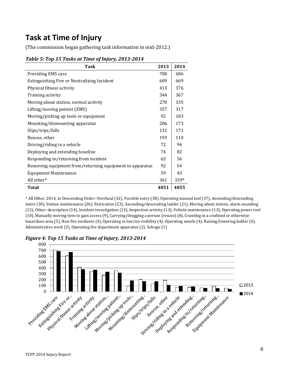### **Task at Time of Injury**

(The commission began gathering task information in mid-2012.)

| <b>Task</b>                                              | 2013 | 2014 |
|----------------------------------------------------------|------|------|
| Providing EMS care                                       | 708  | 686  |
| Extinguishing Fire or Neutralizing Incident              | 609  | 669  |
| Physical fitness activity                                | 413  | 376  |
| Training activity                                        | 344  | 367  |
| Moving about station, normal activity                    | 278  | 335  |
| Lifting/moving patient (EMS)                             | 357  | 317  |
| Moving/picking up tools or equipment                     | 92   | 183  |
| Mounting/dismounting apparatus                           | 206  | 173  |
| Slips/trips/falls                                        | 131  | 171  |
| Rescue, other                                            | 193  | 110  |
| Driving/riding in a vehicle                              | 72   | 94   |
| Deploying and extending hoseline                         | 74   | 82   |
| Responding to/returning from incident                    | 62   | 56   |
| Removing equipment from/returning equipment to apparatus | 92   | 54   |
| <b>Equipment Maintenance</b>                             | 59   | 43   |
| All other*                                               | 361  | 339* |
| <b>Total</b>                                             | 4051 | 4055 |

### *Table 5: Top 15 Tasks at Time of Injury, 2013-2014*

\* All Other, 2014, in Descending Order: Overhaul (42), Forcible entry (38), Operating manual tool (37), Ascending/descending stairs (30), Station maintenance (26), Extrication (23), Ascending/descending ladder (21), Moving about station, alarm sounding (15), Other: description (14), Incident investigation (13), Inspection activity (13), Vehicle maintenance (13), Operating power tool (10), Manually moving item to gain access (9), Carrying/dragging a person (rescue) (8), Crawling in a confined or otherwise hazardous area (5), Non-fire incidents (4), Operating in low/no visibility (4), Operating nozzle (4), Raising/lowering ladder (4), Administrative work (3), Operating fire department apparatus (2), Salvage (1)



*Figure 4: Top 15 Tasks at Time of Injury, 2013-2014*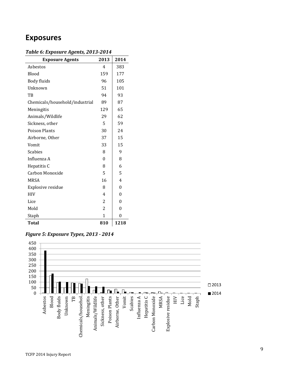### **Exposures**

| <b>Exposure Agents</b>         | 2013         | 2014 |
|--------------------------------|--------------|------|
| Asbestos                       | 4            | 383  |
| Blood                          | 159          | 177  |
| Body fluids                    | 96           | 105  |
| Unknown                        | 51           | 101  |
| TB                             | 94           | 93   |
| Chemicals/household/industrial | 89           | 87   |
| Meningitis                     | 129          | 65   |
| Animals/Wildlife               | 29           | 62   |
| Sickness, other                | 5            | 59   |
| <b>Poison Plants</b>           | 30           | 24   |
| Airborne, Other                | 37           | 15   |
| Vomit                          | 33           | 15   |
| <b>Scabies</b>                 | 8            | 9    |
| Influenza A                    | 0            | 8    |
| Hepatitis C                    | 8            | 6    |
| Carbon Monoxide                | 5            | 5    |
| <b>MRSA</b>                    | 16           | 4    |
| Explosive residue              | 8            | 0    |
| <b>HIV</b>                     | 4            | 0    |
| Lice                           | 2            | 0    |
| Mold                           | 2            | 0    |
| Staph                          | $\mathbf{1}$ | 0    |
| <b>Total</b>                   | 810          | 1218 |



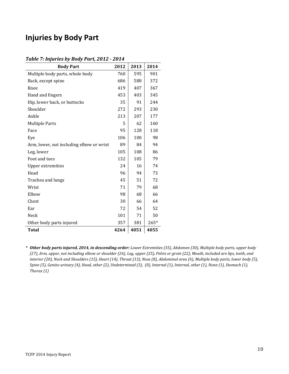### **Injuries by Body Part**

#### *Table 7: Injuries by Body Part, 2012 - 2014*

| <b>Body Part</b>                         | 2012 | 2013 | 2014   |
|------------------------------------------|------|------|--------|
| Multiple body parts, whole body          | 760  | 595  | 901    |
| Back, except spine                       | 686  | 588  | 372    |
| Knee                                     | 419  | 407  | 367    |
| Hand and fingers                         | 453  | 403  | 345    |
| Hip, lower back, or buttocks             | 35   | 91   | 244    |
| Shoulder                                 | 272  | 293  | 230    |
| Ankle                                    | 213  | 207  | 177    |
| <b>Multiple Parts</b>                    | 5    | 62   | 160    |
| Face                                     | 95   | 128  | 118    |
| Eye                                      | 106  | 100  | 98     |
| Arm, lower, not including elbow or wrist | 89   | 84   | 94     |
| Leg, lower                               | 105  | 108  | 86     |
| Foot and toes                            | 132  | 105  | 79     |
| <b>Upper extremities</b>                 | 24   | 16   | 74     |
| Head                                     | 96   | 94   | 73     |
| Trachea and lungs                        | 45   | 51   | 72     |
| Wrist                                    | 71   | 79   | 68     |
| Elbow                                    | 98   | 68   | 66     |
| Chest                                    | 30   | 66   | 64     |
| Ear                                      | 72   | 54   | 52     |
| Neck                                     | 101  | 71   | 50     |
| Other body parts injured                 | 357  | 381  | $265*$ |
| <b>Total</b>                             | 4264 | 4051 | 4055   |

*\* Other body parts injured, 2014, in descending order: Lower Extremities (35), Abdomen (30), Multiple body parts, upper body (27), Arm, upper, not including elbow or shoulder (26), Leg, upper (25), Pelvis or groin (22), Mouth, included are lips, teeth, and interior (20), Neck and Shoulders (15), Heart (14), Throat (13), Nose (8), Abdominal area (6), Multiple body parts, lower body (5), Spine (5), Genito-urinary (4), Head, other (2), Undetermined (3), (0), Internal (1), Internal, other (1), None (1), Stomach (1), Thorax (1)*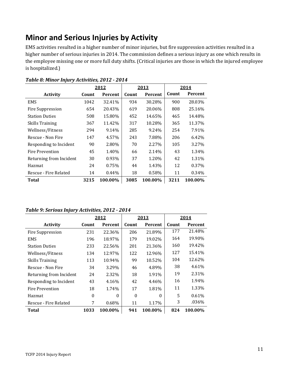### **Minor and Serious Injuries by Activity**

EMS activities resulted in a higher number of minor injuries, but fire suppression activities resulted in a higher number of serious injuries in 2014. The commission defines a serious injury as one which results in the employee missing one or more full duty shifts. (Critical injuries are those in which the injured employee is hospitalized.)

|                         | 2012  |                | 2013  |                | 2014  |         |
|-------------------------|-------|----------------|-------|----------------|-------|---------|
| <b>Activity</b>         | Count | <b>Percent</b> | Count | <b>Percent</b> | Count | Percent |
| <b>EMS</b>              | 1042  | 32.41%         | 934   | 30.28%         | 900   | 28.03%  |
| Fire Suppression        | 654   | 20.43%         | 619   | 20.06%         | 808   | 25.16%  |
| <b>Station Duties</b>   | 508   | 15.80%         | 452   | 14.65%         | 465   | 14.48%  |
| Skills Training         | 367   | 11.42%         | 317   | 10.28%         | 365   | 11.37%  |
| Wellness/Fitness        | 294   | 9.14%          | 285   | 9.24%          | 254   | 7.91%   |
| Rescue - Non Fire       | 147   | 4.57%          | 243   | 7.88%          | 206   | 6.42%   |
| Responding to Incident  | 90    | 2.80%          | 70    | 2.27%          | 105   | 3.27%   |
| Fire Prevention         | 45    | 1.40%          | 66    | 2.14%          | 43    | 1.34%   |
| Returning from Incident | 30    | 0.93%          | 37    | 1.20%          | 42    | 1.31%   |
| Hazmat                  | 24    | 0.75%          | 44    | 1.43%          | 12    | 0.37%   |
| Rescue - Fire Related   | 14    | $0.44\%$       | 18    | 0.58%          | 11    | 0.34%   |
| Total                   | 3215  | 100.00%        | 3085  | 100.00%        | 3211  | 100.00% |

|  | Table 8: Minor Injury Activities, 2012 - 2014 |  |  |
|--|-----------------------------------------------|--|--|
|--|-----------------------------------------------|--|--|

#### *Table 9: Serious Injury Activities, 2012 - 2014*

|                         | 2012  |          | 2013     |          | 2014  |         |
|-------------------------|-------|----------|----------|----------|-------|---------|
| <b>Activity</b>         | Count | Percent  | Count    | Percent  | Count | Percent |
| Fire Suppression        | 231   | 22.36%   | 206      | 21.89%   | 177   | 21.48%  |
| EMS                     | 196   | 18.97%   | 179      | 19.02%   | 164   | 19.90%  |
| <b>Station Duties</b>   | 233   | 22.56%   | 201      | 21.36%   | 160   | 19.42%  |
| Wellness/Fitness        | 134   | 12.97%   | 122      | 12.96%   | 127   | 15.41%  |
| <b>Skills Training</b>  | 113   | 10.94%   | 99       | 10.52%   | 104   | 12.62%  |
| Rescue - Non Fire       | 34    | 3.29%    | 46       | 4.89%    | 38    | 4.61%   |
| Returning from Incident | 24    | 2.32%    | 18       | 1.91%    | 19    | 2.31%   |
| Responding to Incident  | 43    | 4.16%    | 42       | 4.46%    | 16    | 1.94%   |
| Fire Prevention         | 18    | 1.74%    | 17       | 1.81%    | 11    | 1.33%   |
| Hazmat                  | 0     | $\theta$ | $\theta$ | $\Omega$ | 5     | 0.61%   |
| Rescue - Fire Related   | 7     | 0.68%    | 11       | 1.17%    | 3     | .036%   |
| Total                   | 1033  | 100.00%  | 941      | 100.00%  | 824   | 100.00% |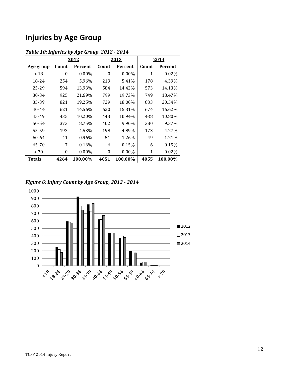### **Injuries by Age Group**

|               |                  | 2012     |                  | 2013     |       | 2014    |
|---------------|------------------|----------|------------------|----------|-------|---------|
| Age group     | Count            | Percent  | Count            | Percent  | Count | Percent |
| ~18           | $\theta$         | 0.00%    | $\theta$         | $0.00\%$ | 1     | 0.02%   |
| 18-24         | 254              | 5.96%    | 219              | 5.41%    | 178   | 4.39%   |
| 25-29         | 594              | 13.93%   | 584              | 14.42%   | 573   | 14.13%  |
| 30-34         | 925              | 21.69%   | 799              | 19.73%   | 749   | 18.47%  |
| 35-39         | 821              | 19.25%   | 729              | 18.00%   | 833   | 20.54%  |
| $40 - 44$     | 621              | 14.56%   | 620              | 15.31%   | 674   | 16.62%  |
| 45-49         | 435              | 10.20%   | 443              | 10.94%   | 438   | 10.80%  |
| 50-54         | 373              | 8.75%    | 402              | 9.90%    | 380   | 9.37%   |
| 55-59         | 193              | 4.53%    | 198              | 4.89%    | 173   | 4.27%   |
| 60-64         | 41               | 0.96%    | 51               | 1.26%    | 49    | 1.21%   |
| 65-70         | 7                | $0.16\%$ | 6                | 0.15%    | 6     | 0.15%   |
| > 70          | $\boldsymbol{0}$ | $0.00\%$ | $\boldsymbol{0}$ | $0.00\%$ | 1     | 0.02%   |
| <b>Totals</b> | 4264             | 100.00%  | 4051             | 100.00%  | 4055  | 100.00% |

### *Table 10: Injuries by Age Group, 2012 - 2014*

*Figure 6: Injury Count by Age Group, 2012 - 2014*

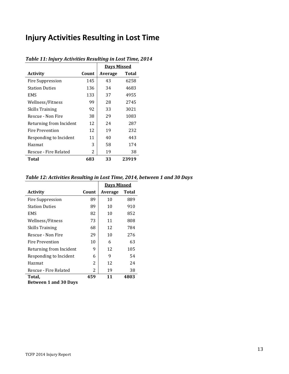# **Injury Activities Resulting in Lost Time**

|                         |       | <b>Days Missed</b> |              |
|-------------------------|-------|--------------------|--------------|
| <b>Activity</b>         | Count | Average            | <b>Total</b> |
| Fire Suppression        | 145   | 43                 | 6258         |
| <b>Station Duties</b>   | 136   | 34                 | 4683         |
| <b>EMS</b>              | 133   | 37                 | 4955         |
| Wellness/Fitness        | 99    | 28                 | 2745         |
| <b>Skills Training</b>  | 92    | 33                 | 3021         |
| Rescue - Non Fire       | 38    | 29                 | 1083         |
| Returning from Incident | 12    | 24                 | 287          |
| Fire Prevention         | 12    | 19                 | 232          |
| Responding to Incident  | 11    | 40                 | 443          |
| Hazmat                  | 3     | 58                 | 174          |
| Rescue - Fire Related   | 2     | 19                 | 38           |
| Total                   | 683   | 33                 | 23919        |

### *Table 11: Injury Activities Resulting in Lost Time, 2014*

### *Table 12: Activities Resulting in Lost Time, 2014, between 1 and 30 Days*

|                         |       | <b>Days Missed</b> |              |
|-------------------------|-------|--------------------|--------------|
| <b>Activity</b>         | Count | Average            | <b>Total</b> |
| Fire Suppression        | 89    | 10                 | 889          |
| <b>Station Duties</b>   | 89    | 10                 | 910          |
| EMS                     | 82    | 10                 | 852          |
| Wellness/Fitness        | 73    | 11                 | 808          |
| <b>Skills Training</b>  | 68    | 12                 | 784          |
| Rescue - Non Fire       | 29    | 10                 | 276          |
| Fire Prevention         | 10    | 6                  | 63           |
| Returning from Incident | 9     | 12                 | 105          |
| Responding to Incident  | 6     | 9                  | 54           |
| Hazmat                  | 2     | 12                 | 24           |
| Rescue - Fire Related   | 2     | 19                 | 38           |
| Total,                  | 459   | 11                 | 4803         |
| Rotwoon 1 and 20 Dave   |       |                    |              |

**Between 1 and 30 Days**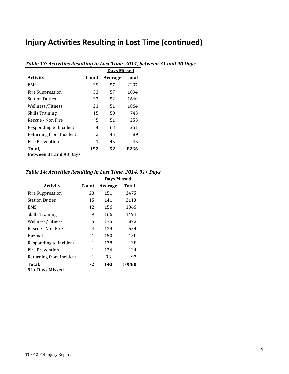### **Injury Activities Resulting in Lost Time (continued)**

|                               |       | <u>Davs Missed</u> |              |
|-------------------------------|-------|--------------------|--------------|
| <b>Activity</b>               | Count | Average            | <b>Total</b> |
| <b>EMS</b>                    | 39    | 57                 | 2237         |
| Fire Suppression              | 33    | 57                 | 1894         |
| <b>Station Duties</b>         | 32    | 52                 | 1660         |
| Wellness/Fitness              | 21    | 51                 | 1064         |
| Skills Training               | 15    | 50                 | 743          |
| Rescue - Non Fire             | 5     | 51                 | 253          |
| Responding to Incident        | 4     | 63                 | 251          |
| Returning from Incident       | 2     | 45                 | 89           |
| <b>Fire Prevention</b>        | 1     | 45                 | 45           |
| Total,                        | 152   | 52                 | 8236         |
| <b>Between 31 and 90 Days</b> |       |                    |              |

### *Table 13: Activities Resulting in Lost Time, 2014, between 31 and 90 Days*

### *Table 14: Activities Resulting in Lost Time, 2014, 91+ Days*

|                         |       | <b>Days Missed</b> |       |
|-------------------------|-------|--------------------|-------|
| <b>Activity</b>         | Count | Average            | Total |
| Fire Suppression        | 23    | 151                | 3475  |
| <b>Station Duties</b>   | 15    | 141                | 2113  |
| <b>EMS</b>              | 12    | 156                | 1866  |
| <b>Skills Training</b>  | 9     | 166                | 1494  |
| Wellness/Fitness        | 5     | 175                | 873   |
| Rescue - Non Fire       | 4     | 139                | 554   |
| Hazmat                  | 1     | 150                | 150   |
| Responding to Incident  | 1     | 138                | 138   |
| Fire Prevention         | 1     | 124                | 124   |
| Returning from Incident | 1     | 93                 | 93    |
| Total,                  | 72    | 143                | 10880 |
| 91+ Days Missed         |       |                    |       |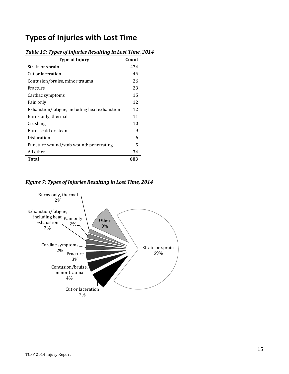### **Types of Injuries with Lost Time**

| <b>Type of Injury</b>                         | Count |
|-----------------------------------------------|-------|
| Strain or sprain                              | 474   |
| Cut or laceration                             | 46    |
| Contusion/bruise, minor trauma                | 26    |
| Fracture                                      | 23    |
| Cardiac symptoms                              | 15    |
| Pain only                                     | 12    |
| Exhaustion/fatigue, including heat exhaustion | 12    |
| Burns only, thermal                           | 11    |
| Crushing                                      | 10    |
| Burn, scald or steam                          | 9     |
| Dislocation                                   | 6     |
| Puncture wound/stab wound: penetrating        | 5     |
| All other                                     | 34    |
| Total                                         | 683   |

### *Table 15: Types of Injuries Resulting in Lost Time, 2014*

*Figure 7: Types of Injuries Resulting in Lost Time, 2014*

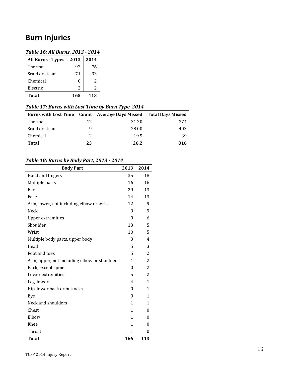### **Burn Injuries**

### *Table 16: All Burns, 2013 - 2014*

| <b>All Burns - Types</b> | 2013         | 2014 |
|--------------------------|--------------|------|
| Thermal                  | 92           | 76   |
| Scald or steam           | 71           | 33   |
| Chemical                 | $\mathbf{0}$ | 2    |
| Electric                 | 2            | 2    |
| Total                    | 165          | 113  |

### *Table 17: Burns with Lost Time by Burn Type, 2014*

| Tword I had no with bost that by Barn Type soll |    |                                                                     |     |  |
|-------------------------------------------------|----|---------------------------------------------------------------------|-----|--|
|                                                 |    | Burns with Lost Time  Count  Average Days Missed  Total Days Missed |     |  |
| Thermal                                         | 12 | 31.20                                                               | 374 |  |
| Scald or steam                                  | 9  | 28.00                                                               | 403 |  |
| Chemical                                        |    | 19.5                                                                | 39  |  |
| <b>Total</b>                                    | 23 | 26.2                                                                | 816 |  |

### *Table 18: Burns by Body Part, 2013 - 2014*

| <b>Body Part</b>                            | 2013         | 2014           |
|---------------------------------------------|--------------|----------------|
| Hand and fingers                            | 35           | 18             |
| Multiple parts                              | 16           | 16             |
| Ear                                         | 29           | 13             |
| Face                                        | 14           | 13             |
| Arm, lower, not including elbow or wrist    | 12           | 9              |
| <b>Neck</b>                                 | 9            | 9              |
| Upper extremities                           | $\theta$     | 6              |
| Shoulder                                    | 13           | 5              |
| Wrist                                       | 10           | 5              |
| Multiple body parts, upper body             | 3            | $\overline{4}$ |
| Head                                        | 5            | 3              |
| Foot and toes                               | 5            | $\overline{2}$ |
| Arm, upper, not including elbow or shoulder | $\mathbf{1}$ | $\overline{2}$ |
| Back, except spine                          | $\theta$     | $\overline{2}$ |
| Lower extremities                           | 5            | $\overline{2}$ |
| Leg, lower                                  | 4            | $\mathbf{1}$   |
| Hip, lower back or buttocks                 | $\theta$     | 1              |
| Eye                                         | $\theta$     | 1              |
| Neck and shoulders                          | $\mathbf{1}$ | 1              |
| Chest                                       | $\mathbf{1}$ | 0              |
| Elbow                                       | 1            | 0              |
| Knee                                        | 1            | 0              |
| Throat                                      | 1            | 0              |
| <b>Total</b>                                | 166          | 113            |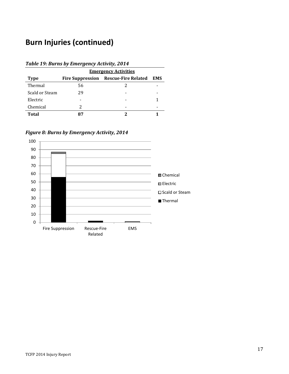# **Burn Injuries (continued)**

| Table 19: Burns by Emergency Activity, 2014 |                             |                                             |            |  |  |  |  |
|---------------------------------------------|-----------------------------|---------------------------------------------|------------|--|--|--|--|
|                                             | <b>Emergency Activities</b> |                                             |            |  |  |  |  |
| <b>Type</b>                                 |                             | <b>Fire Suppression Rescue-Fire Related</b> | <b>EMS</b> |  |  |  |  |
| Thermal                                     | 56                          |                                             |            |  |  |  |  |
| Scald or Steam                              | 29                          |                                             |            |  |  |  |  |
| Electric                                    |                             |                                             |            |  |  |  |  |
| Chemical                                    | 2                           |                                             |            |  |  |  |  |
| Total                                       |                             |                                             |            |  |  |  |  |

*Figure 8: Burns by Emergency Activity, 2014*

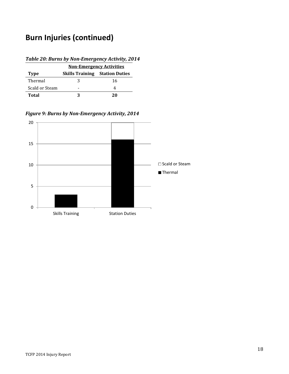# **Burn Injuries (continued)**

### *Table 20: Burns by Non-Emergency Activity, 2014*

|                | <b>Non-Emergency Activities</b>       |    |  |  |
|----------------|---------------------------------------|----|--|--|
| Type           | <b>Skills Training Station Duties</b> |    |  |  |
| Thermal        | 2                                     | 16 |  |  |
| Scald or Steam |                                       |    |  |  |
| Total          |                                       | 20 |  |  |

*Figure 9: Burns by Non-Emergency Activity, 2014*

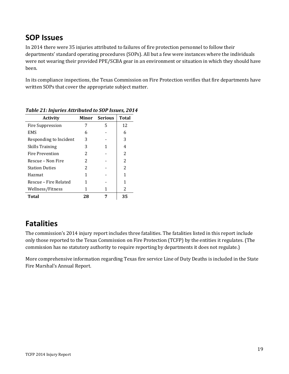### **SOP Issues**

In 2014 there were 35 injuries attributed to failures of fire protection personnel to follow their departments' standard operating procedures (SOPs). All but a few were instances where the individuals were not wearing their provided PPE/SCBA gear in an environment or situation in which they should have been.

In its compliance inspections, the Texas Commission on Fire Protection verifies that fire departments have written SOPs that cover the appropriate subject matter.

| <b>Activity</b>        |               | <b>Minor</b> Serious | <b>Total</b>   |
|------------------------|---------------|----------------------|----------------|
| Fire Suppression       | 7             | 5                    | 12             |
| <b>EMS</b>             | 6             |                      | 6              |
| Responding to Incident | 3             |                      | 3              |
| <b>Skills Training</b> | 3             |                      | 4              |
| Fire Prevention        | 2             |                      | 2              |
| Rescue – Non Fire      | $\mathcal{L}$ |                      | $\overline{c}$ |
| <b>Station Duties</b>  | 2             |                      | 2              |
| Hazmat                 | 1             |                      | 1              |
| Rescue – Fire Related  | 1             |                      | 1              |
| Wellness/Fitness       |               |                      | 2              |
| <b>Total</b>           | 28            |                      | 35             |

*Table 21: Injuries Attributed to SOP Issues, 2014*

# **Fatalities**

The commission's 2014 injury report includes three fatalities. The fatalities listed in this report include only those reported to the Texas Commission on Fire Protection (TCFP) by the entities it regulates. (The commission has no statutory authority to require reporting by departments it does not regulate.)

More comprehensive information regarding Texas fire service Line of Duty Deaths is included in the State Fire Marshal's Annual Report.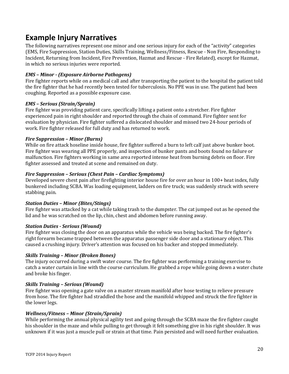### **Example Injury Narratives**

The following narratives represent one minor and one serious injury for each of the "activity" categories (EMS, Fire Suppression, Station Duties, Skills Training, Wellness/Fitness, Rescue - Non Fire, Responding to Incident, Returning from Incident, Fire Prevention, Hazmat and Rescue - Fire Related), except for Hazmat, in which no serious injuries were reported.

### *EMS – Minor - (Exposure Airborne Pathogens)*

Fire fighter reports while on a medical call and after transporting the patient to the hospital the patient told the fire fighter that he had recently been tested for tuberculosis. No PPE was in use. The patient had been coughing. Reported as a possible exposure case.

### *EMS – Serious (Strain/Sprain)*

Fire fighter was providing patient care, specifically lifting a patient onto a stretcher. Fire fighter experienced pain in right shoulder and reported through the chain of command. Fire fighter sent for evaluation by physician. Fire fighter suffered a dislocated shoulder and missed two 24-hour periods of work. Fire fighter released for full duty and has returned to work.

### *Fire Suppression – Minor (Burns)*

While on fire attack hoseline inside house, fire fighter suffered a burn to left calf just above bunker boot. Fire fighter was wearing all PPE properly, and inspection of bunker pants and boots found no failure or malfunction. Fire fighters working in same area reported intense heat from burning debris on floor. Fire fighter assessed and treated at scene and remained on duty.

### *Fire Suppression – Serious (Chest Pain – Cardiac Symptoms)*

Developed severe chest pain after firefighting interior house fire for over an hour in 100+ heat index, fully bunkered including SCBA. Was loading equipment, ladders on fire truck; was suddenly struck with severe stabbing pain.

#### *Station Duties – Minor (Bites/Stings)*

Fire fighter was attacked by a cat while taking trash to the dumpster. The cat jumped out as he opened the lid and he was scratched on the lip, chin, chest and abdomen before running away.

#### *Station Duties - Serious (Wound)*

Fire fighter was closing the door on an apparatus while the vehicle was being backed. The fire fighter's right forearm became trapped between the apparatus passenger side door and a stationary object. This caused a crushing injury. Driver's attention was focused on his backer and stopped immediately.

#### *Skills Training – Minor (Broken Bones)*

The injury occurred during a swift water course. The fire fighter was performing a training exercise to catch a water curtain in line with the course curriculum. He grabbed a rope while going down a water chute and broke his finger.

#### *Skills Training – Serious (Wound)*

Fire fighter was opening a gate valve on a master stream manifold after hose testing to relieve pressure from hose. The fire fighter had straddled the hose and the manifold whipped and struck the fire fighter in the lower legs.

#### *Wellness/Fitness – Minor (Strain/Sprain)*

While performing the annual physical agility test and going through the SCBA maze the fire fighter caught his shoulder in the maze and while pulling to get through it felt something give in his right shoulder. It was unknown if it was just a muscle pull or strain at that time. Pain persisted and will need further evaluation.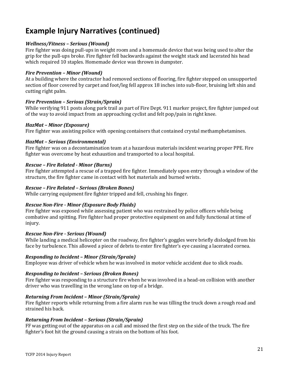# **Example Injury Narratives (continued)**

### *Wellness/Fitness – Serious (Wound)*

Fire fighter was doing pull-ups in weight room and a homemade device that was being used to alter the grip for the pull-ups broke. Fire fighter fell backwards against the weight stack and lacerated his head which required 10 staples. Homemade device was thrown in dumpster.

#### *Fire Prevention – Minor (Wound)*

At a building where the contractor had removed sections of flooring, fire fighter stepped on unsupported section of floor covered by carpet and foot/leg fell approx 18 inches into sub-floor, bruising left shin and cutting right palm.

### *Fire Prevention – Serious (Strain/Sprain)*

While verifying 911 posts along park trail as part of Fire Dept. 911 marker project, fire fighter jumped out of the way to avoid impact from an approaching cyclist and felt pop/pain in right knee.

### *HazMat – Minor (Exposure)*

Fire fighter was assisting police with opening containers that contained crystal methamphetamines.

### *HazMat – Serious (Environmental)*

Fire fighter was on a decontamination team at a hazardous materials incident wearing proper PPE. Fire fighter was overcome by heat exhaustion and transported to a local hospital.

### *Rescue – Fire Related - Minor (Burns)*

Fire fighter attempted a rescue of a trapped fire fighter. Immediately upon entry through a window of the structure, the fire fighter came in contact with hot materials and burned wrists.

#### *Rescue – Fire Related – Serious (Broken Bones)*

While carrying equipment fire fighter tripped and fell, crushing his finger.

### *Rescue Non-Fire - Minor (Exposure Body Fluids)*

Fire fighter was exposed while assessing patient who was restrained by police officers while being combative and spitting. Fire fighter had proper protective equipment on and fully functional at time of injury.

#### *Rescue Non-Fire - Serious (Wound)*

While landing a medical helicopter on the roadway, fire fighter's goggles were briefly dislodged from his face by turbulence. This allowed a piece of debris to enter fire fighter's eye causing a lacerated cornea.

#### *Responding to Incident – Minor (Strain/Sprain)*

Employee was driver of vehicle when he was involved in motor vehicle accident due to slick roads.

#### *Responding to Incident – Serious (Broken Bones)*

Fire fighter was responding to a structure fire when he was involved in a head-on collision with another driver who was travelling in the wrong lane on top of a bridge.

#### *Returning From Incident – Minor (Strain/Sprain)*

Fire fighter reports while returning from a fire alarm run he was tilling the truck down a rough road and strained his back.

#### *Returning From Incident – Serious (Strain/Sprain)*

FF was getting out of the apparatus on a call and missed the first step on the side of the truck. The fire fighter's foot hit the ground causing a strain on the bottom of his foot.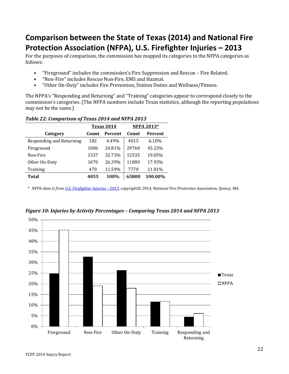# **Comparison between the State of Texas (2014) and National Fire Protection Association (NFPA), U.S. Firefighter Injuries – 2013**

For the purposes of comparison, the commission has mapped its categories to the NFPA categories as follows:

- "Fireground" includes the commission's Fire Suppression and Rescue Fire Related.<br>• "Non-Fire" includes Rescue Non-Fire, EMS and Hazmat
- "Non-Fire" includes Rescue Non-Fire, EMS and Hazmat.<br>• "Other On-Duty" includes Fire Prevention, Station Dutie
- "Other On-Duty" includes Fire Prevention, Station Duties and Wellness/Fitness.

The NFPA's "Responding and Returning" and "Training" categories appear to correspond closely to the commission's categories. (The NFPA numbers include Texas statistics, although the reporting populations may not be the same.)

|                          | Texas 2014 |                | <b>NFPA 2013*</b> |         |
|--------------------------|------------|----------------|-------------------|---------|
| Category                 | Count      | <b>Percent</b> | Count             | Percent |
| Responding and Returning | 182        | 4.49%          | 4015              | 6.10%   |
| Fireground               | 1006       | 24.81%         | 29760             | 45.23%  |
| Non-Fire                 | 1327       | 32.73%         | 12535             | 19.05%  |
| Other On-Duty            | 1070       | 26.39%         | 11800             | 17.93%  |
| Training                 | 470        | 11.59%         | 7770              | 11.81%  |
| Total                    | 4055       | 100%           | 65800             | 100.00% |

### *Table 22: Comparison of Texas 2014 and NFPA 2013*

*\* NFPA data is fro[m U.S. Firefighter Injuries –](http://www.nfpa.org/research/reports-and-statistics/the-fire-service/fatalities-and-injuries/firefighter-injuries-in-the-united-states) 2013, copyright© 2014, National Fire Protection Association, Quincy, MA.*



### *Figure 10: Injuries by Activity Percentages – Comparing Texas 2014 and NFPA 2013*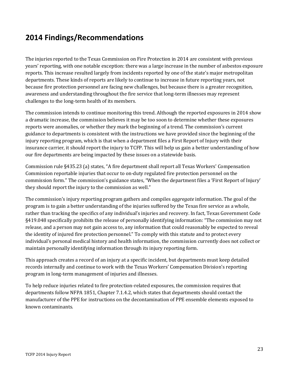### **2014 Findings/Recommendations**

The injuries reported to the Texas Commission on Fire Protection in 2014 are consistent with previous years' reporting, with one notable exception: there was a large increase in the number of asbestos exposure reports. This increase resulted largely from incidents reported by one of the state's major metropolitan departments. These kinds of reports are likely to continue to increase in future reporting years, not because fire protection personnel are facing new challenges, but because there is a greater recognition, awareness and understanding throughout the fire service that long-term illnesses may represent challenges to the long-term health of its members.

The commission intends to continue monitoring this trend. Although the reported exposures in 2014 show a dramatic increase, the commission believes it may be too soon to determine whether these exposures reports were anomalies, or whether they mark the beginning of a trend. The commission's current guidance to departments is consistent with the instructions we have provided since the beginning of the injury reporting program, which is that when a department files a First Report of Injury with their insurance carrier, it should report the injury to TCFP. This will help us gain a better understanding of how our fire departments are being impacted by these issues on a statewide basis.

Commission rule §435.23 (a) states, "A fire department shall report all Texas Workers' Compensation Commission reportable injuries that occur to on-duty regulated fire protection personnel on the commission form." The commission's guidance states, "When the department files a 'First Report of Injury' they should report the injury to the commission as well."

The commission's injury reporting program gathers and compiles *aggregate* information. The goal of the program is to gain a better understanding of the injuries suffered by the Texas fire service as a whole, rather than tracking the specifics of any individual's injuries and recovery. In fact, Texas Government Code §419.048 specifically prohibits the release of personally identifying information: "The commission may not release, and a person may not gain access to, any information that could reasonably be expected to reveal the identity of injured fire protection personnel." To comply with this statute and to protect every individual's personal medical history and health information, the commission currently does not collect or maintain personally identifying information through its injury reporting form.

This approach creates a record of an injury at a specific incident, but departments must keep detailed records internally and continue to work with the Texas Workers' Compensation Division's reporting program in long-term management of injuries and illnesses.

To help reduce injuries related to fire protection-related exposures, the commission requires that departments follow NFPA 1851, Chapter 7.1.4.2, which states that departments should contact the manufacturer of the PPE for instructions on the decontamination of PPE ensemble elements exposed to known contaminants.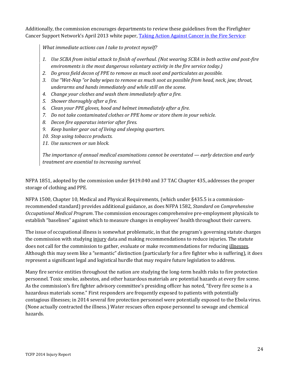Additionally, the commission encourages departments to review these guidelines from the Firefighter Cancer Support Network's April 2013 white paper, [Taking Action Against Cancer in the Fire Service:](http://www.firehouse.com/download?content_id=12088805)

*What immediate actions can I take to protect myself?* 

- *1. Use SCBA from initial attack to finish of overhaul. (Not wearing SCBA in both active and post-fire environments is the most dangerous voluntary activity in the fire service today.)*
- *2. Do gross field decon of PPE to remove as much soot and particulates as possible.*
- *3. Use "Wet-Nap "or baby wipes to remove as much soot as possible from head, neck, jaw, throat, underarms and hands immediately and while still on the scene.*
- *4. Change your clothes and wash them immediately after a fire.*
- *5. Shower thoroughly after a fire.*
- *6. Clean your PPE gloves, hood and helmet immediately after a fire.*
- *7. Do not take contaminated clothes or PPE home or store them in your vehicle.*
- *8. Decon fire apparatus interior after fires.*
- *9. Keep bunker gear out of living and sleeping quarters.*
- *10. Stop using tobacco products.*
- *11. Use sunscreen or sun block.*

*The importance of annual medical examinations cannot be overstated — early detection and early treatment are essential to increasing survival.*

NFPA 1851, adopted by the commission under §419.040 and 37 TAC Chapter 435, addresses the proper storage of clothing and PPE.

NFPA 1500, Chapter 10, Medical and Physical Requirements, (which under §435.5 is a commissionrecommended standard) provides additional guidance, as does NFPA 1582, *Standard on Comprehensive Occupational Medical Program*. The commission encourages comprehensive pre-employment physicals to establish "baselines" against which to measure changes in employees' health throughout their careers.

The issue of occupational illness is somewhat problematic, in that the program's governing statute charges the commission with studying injury data and making recommendations to reduce injuries. The statute does not call for the commission to gather, evaluate or make recommendations for reducing illnesses. Although this may seem like a "semantic" distinction (particularly for a fire fighter who is suffering), it does represent a significant legal and logistical hurdle that may require future legislation to address.

Many fire service entities throughout the nation are studying the long-term health risks to fire protection personnel. Toxic smoke, asbestos, and other hazardous materials are potential hazards at every fire scene. As the commission's fire fighter advisory committee's presiding officer has noted, "Every fire scene is a hazardous materials scene." First responders are frequently exposed to patients with potentially contagious illnesses; in 2014 several fire protection personnel were potentially exposed to the Ebola virus. (None actually contracted the illness.) Water rescues often expose personnel to sewage and chemical hazards.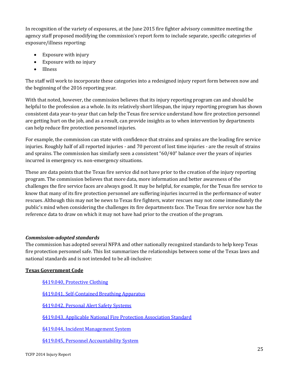In recognition of the variety of exposures, at the June 2015 fire fighter advisory committee meeting the agency staff proposed modifying the commission's report form to include separate, specific categories of exposure/illness reporting:

- Exposure with injury
- Exposure with no injury
- Illness

The staff will work to incorporate these categories into a redesigned injury report form between now and the beginning of the 2016 reporting year.

With that noted, however, the commission believes that its injury reporting program can and should be helpful to the profession as a whole. In its relatively short lifespan, the injury reporting program has shown consistent data year-to-year that can help the Texas fire service understand how fire protection personnel are getting hurt on the job, and as a result, can provide insights as to when intervention by departments can help reduce fire protection personnel injuries.

For example, the commission can state with confidence that strains and sprains are the leading fire service injuries. Roughly half of all reported injuries - and 70 percent of lost time injuries - are the result of strains and sprains. The commission has similarly seen a consistent "60/40" balance over the years of injuries incurred in emergency vs. non-emergency situations.

These are data points that the Texas fire service did not have prior to the creation of the injury reporting program. The commission believes that more data, more information and better awareness of the challenges the fire service faces are always good. It may be helpful, for example, for the Texas fire service to know that many of its fire protection personnel are suffering injuries incurred in the performance of water rescues. Although this may not be news to Texas fire fighters, water rescues may not come immediately the public's mind when considering the challenges its fire departments face. The Texas fire service now has the reference data to draw on which it may not have had prior to the creation of the program.

### *Commission-adopted standards*

The commission has adopted several NFPA and other nationally recognized standards to help keep Texas fire protection personnel safe. This list summarizes the relationships between some of the Texas laws and national standards and is not intended to be all-inclusive:

### **Texas Government Code**

- [§419.040, Protective Clothing](http://www.statutes.legis.state.tx.us/Docs/GV/htm/GV.419.htm%23419.040)
- [§419.041, Self-Contained Breathing Apparatus](http://www.statutes.legis.state.tx.us/Docs/GV/htm/GV.419.htm%23419.041)

[§419.042, Personal Alert Safety Systems](http://www.statutes.legis.state.tx.us/Docs/GV/htm/GV.419.htm%23419.042)

[§419.043, Applicable National Fire Protection Association Standard](http://www.statutes.legis.state.tx.us/Docs/GV/htm/GV.419.htm%23419.043)

[§419.044, Incident Management System](http://www.statutes.legis.state.tx.us/Docs/GV/htm/GV.419.htm%23419.044)

[§419.045, Personnel Accountability System](http://www.statutes.legis.state.tx.us/Docs/GV/htm/GV.419.htm%23419.045)